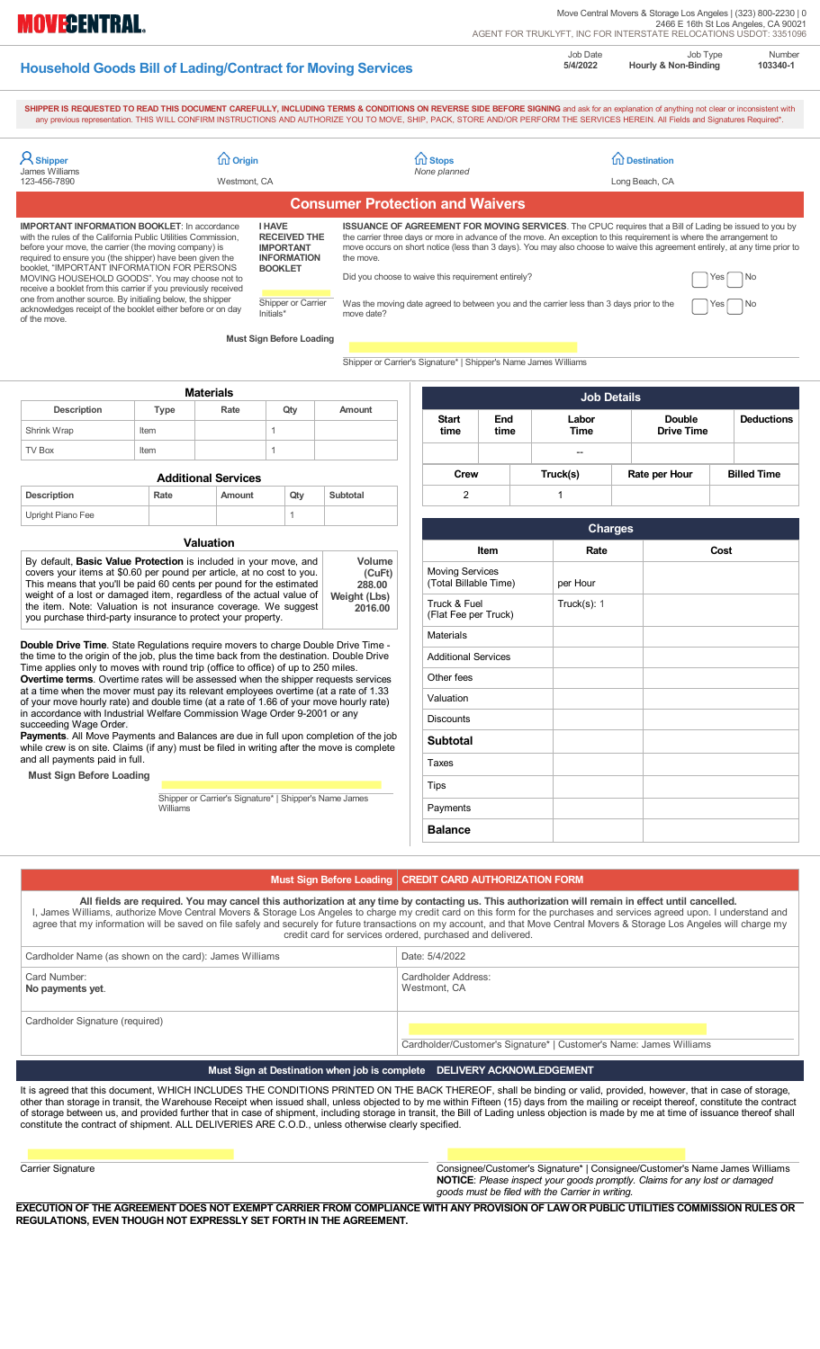|                                                                    | Job Date |
|--------------------------------------------------------------------|----------|
| <b>Household Goods Bill of Lading/Contract for Moving Services</b> | 5/4/2022 |

**MOVECENTRAL.** 

Job Type **Hourly & Non-Binding** 

Number **103340-1** 

SHIPPER IS REQUESTED TO READ THIS DOCUMENT CAREFULLY, INCLUDING TERMS & CONDITIONS ON REVERSE SIDE BEFORE SIGNING and ask for an explanation of anything not clear or inconsistent with any previous representation. THIS WILL

| <b>A</b> Shipper<br><b>James Williams</b>                                                                                                                                                                                                                                                                                                                                                                                                                                                                                                                                                                                                                                                                                          | m Origin    |                                                        |                                                                                                                                                                                                                                                                                                                                                                                                                                                                                                                                                |                                        | 11 Stops<br>None planned                                        |                                                         |                    | <b>fru Destination</b> |                    |  |
|------------------------------------------------------------------------------------------------------------------------------------------------------------------------------------------------------------------------------------------------------------------------------------------------------------------------------------------------------------------------------------------------------------------------------------------------------------------------------------------------------------------------------------------------------------------------------------------------------------------------------------------------------------------------------------------------------------------------------------|-------------|--------------------------------------------------------|------------------------------------------------------------------------------------------------------------------------------------------------------------------------------------------------------------------------------------------------------------------------------------------------------------------------------------------------------------------------------------------------------------------------------------------------------------------------------------------------------------------------------------------------|----------------------------------------|-----------------------------------------------------------------|---------------------------------------------------------|--------------------|------------------------|--------------------|--|
| 123-456-7890                                                                                                                                                                                                                                                                                                                                                                                                                                                                                                                                                                                                                                                                                                                       |             | Westmont, CA                                           |                                                                                                                                                                                                                                                                                                                                                                                                                                                                                                                                                |                                        |                                                                 |                                                         |                    | Long Beach, CA         |                    |  |
|                                                                                                                                                                                                                                                                                                                                                                                                                                                                                                                                                                                                                                                                                                                                    |             |                                                        |                                                                                                                                                                                                                                                                                                                                                                                                                                                                                                                                                | <b>Consumer Protection and Waivers</b> |                                                                 |                                                         |                    |                        |                    |  |
| <b>IMPORTANT INFORMATION BOOKLET:</b> In accordance<br><b>I HAVE</b><br>with the rules of the California Public Utilities Commission,<br><b>RECEIVED THE</b><br><b>IMPORTANT</b><br>before your move, the carrier (the moving company) is<br>required to ensure you (the shipper) have been given the<br><b>INFORMATION</b><br>booklet, "IMPORTANT INFORMATION FOR PERSONS<br><b>BOOKLET</b><br>MOVING HOUSEHOLD GOODS". You may choose not to<br>receive a booklet from this carrier if you previously received<br>one from another source. By initialing below, the shipper<br>Shipper or Carrier<br>acknowledges receipt of the booklet either before or on day<br>Initials*<br>of the move.<br><b>Must Sign Before Loading</b> |             | the move.<br>move date?                                | <b>ISSUANCE OF AGREEMENT FOR MOVING SERVICES</b> . The CPUC requires that a Bill of Lading be issued to you by<br>the carrier three days or more in advance of the move. An exception to this requirement is where the arrangement to<br>move occurs on short notice (less than 3 days). You may also choose to waive this agreement entirely, at any time prior to<br>Did you choose to waive this requirement entirely?<br>No<br>Yes<br>Was the moving date agreed to between you and the carrier less than 3 days prior to the<br>No<br>Yes |                                        |                                                                 |                                                         |                    |                        |                    |  |
|                                                                                                                                                                                                                                                                                                                                                                                                                                                                                                                                                                                                                                                                                                                                    |             |                                                        |                                                                                                                                                                                                                                                                                                                                                                                                                                                                                                                                                |                                        | Shipper or Carrier's Signature*   Shipper's Name James Williams |                                                         |                    |                        |                    |  |
|                                                                                                                                                                                                                                                                                                                                                                                                                                                                                                                                                                                                                                                                                                                                    |             |                                                        |                                                                                                                                                                                                                                                                                                                                                                                                                                                                                                                                                |                                        |                                                                 |                                                         |                    |                        |                    |  |
|                                                                                                                                                                                                                                                                                                                                                                                                                                                                                                                                                                                                                                                                                                                                    |             | <b>Materials</b>                                       |                                                                                                                                                                                                                                                                                                                                                                                                                                                                                                                                                |                                        |                                                                 |                                                         | <b>Job Details</b> |                        |                    |  |
| <b>Description</b>                                                                                                                                                                                                                                                                                                                                                                                                                                                                                                                                                                                                                                                                                                                 | <b>Type</b> | Rate                                                   | Qty                                                                                                                                                                                                                                                                                                                                                                                                                                                                                                                                            | Amount                                 | <b>Start</b>                                                    | End                                                     | Labor              | <b>Double</b>          | <b>Deductions</b>  |  |
| Shrink Wrap                                                                                                                                                                                                                                                                                                                                                                                                                                                                                                                                                                                                                                                                                                                        | Item        |                                                        | $\mathbf{1}$                                                                                                                                                                                                                                                                                                                                                                                                                                                                                                                                   |                                        | time                                                            | time                                                    | Time               | <b>Drive Time</b>      |                    |  |
| <b>TV Box</b>                                                                                                                                                                                                                                                                                                                                                                                                                                                                                                                                                                                                                                                                                                                      | Item        |                                                        | 1                                                                                                                                                                                                                                                                                                                                                                                                                                                                                                                                              |                                        |                                                                 |                                                         |                    |                        |                    |  |
| <b>Additional Services</b>                                                                                                                                                                                                                                                                                                                                                                                                                                                                                                                                                                                                                                                                                                         |             |                                                        |                                                                                                                                                                                                                                                                                                                                                                                                                                                                                                                                                |                                        | <b>Crew</b>                                                     |                                                         | Truck(s)           | Rate per Hour          | <b>Billed Time</b> |  |
| <b>Description</b>                                                                                                                                                                                                                                                                                                                                                                                                                                                                                                                                                                                                                                                                                                                 | Rate        | Amount                                                 | Qty                                                                                                                                                                                                                                                                                                                                                                                                                                                                                                                                            | Subtotal                               | 2                                                               |                                                         | $\mathbf{1}$       |                        |                    |  |
| Upright Piano Fee                                                                                                                                                                                                                                                                                                                                                                                                                                                                                                                                                                                                                                                                                                                  |             |                                                        | 1                                                                                                                                                                                                                                                                                                                                                                                                                                                                                                                                              |                                        |                                                                 |                                                         | <b>Charges</b>     |                        |                    |  |
| <b>Valuation</b>                                                                                                                                                                                                                                                                                                                                                                                                                                                                                                                                                                                                                                                                                                                   |             |                                                        |                                                                                                                                                                                                                                                                                                                                                                                                                                                                                                                                                |                                        | Cost<br>Rate                                                    |                                                         |                    |                        |                    |  |
| By default, <b>Basic Value Protection</b> is included in your move, and<br>covers your items at \$0.60 per pound per article, at no cost to you.<br>This means that you'll be paid 60 cents per pound for the estimated<br>288.00<br>weight of a lost or damaged item, regardless of the actual value of<br>Weight (Lbs)<br>the item. Note: Valuation is not insurance coverage. We suggest<br>2016.00<br>you purchase third-party insurance to protect your property.                                                                                                                                                                                                                                                             |             |                                                        |                                                                                                                                                                                                                                                                                                                                                                                                                                                                                                                                                | Volume<br>(CuFt)                       |                                                                 | Item<br><b>Moving Services</b><br>(Total Billable Time) |                    |                        |                    |  |
|                                                                                                                                                                                                                                                                                                                                                                                                                                                                                                                                                                                                                                                                                                                                    |             |                                                        |                                                                                                                                                                                                                                                                                                                                                                                                                                                                                                                                                |                                        | Truck & Fuel<br>(Flat Fee per Truck)                            |                                                         | Truck $(s)$ : 1    |                        |                    |  |
|                                                                                                                                                                                                                                                                                                                                                                                                                                                                                                                                                                                                                                                                                                                                    |             |                                                        |                                                                                                                                                                                                                                                                                                                                                                                                                                                                                                                                                |                                        | Materials                                                       |                                                         |                    |                        |                    |  |
| <b>Double Drive Time</b> . State Regulations require movers to charge Double Drive Time -<br>the time to the origin of the job, plus the time back from the destination. Double Drive<br>Time applies only to moves with round trip (office to office) of up to 250 miles.<br><b>Overtime terms.</b> Overtime rates will be assessed when the shipper requests services<br>at a time when the mover must pay its relevant employees overtime (at a rate of 1.33<br>of your move hourly rate) and double time (at a rate of 1.66 of your move hourly rate)<br>in accordance with Industrial Welfare Commission Wage Order 9-2001 or any<br>succeeding Wage Order.                                                                   |             |                                                        |                                                                                                                                                                                                                                                                                                                                                                                                                                                                                                                                                |                                        | <b>Additional Services</b>                                      |                                                         |                    |                        |                    |  |
|                                                                                                                                                                                                                                                                                                                                                                                                                                                                                                                                                                                                                                                                                                                                    |             |                                                        |                                                                                                                                                                                                                                                                                                                                                                                                                                                                                                                                                |                                        | Other fees                                                      |                                                         |                    |                        |                    |  |
|                                                                                                                                                                                                                                                                                                                                                                                                                                                                                                                                                                                                                                                                                                                                    |             |                                                        |                                                                                                                                                                                                                                                                                                                                                                                                                                                                                                                                                |                                        | Valuation                                                       |                                                         |                    |                        |                    |  |
|                                                                                                                                                                                                                                                                                                                                                                                                                                                                                                                                                                                                                                                                                                                                    |             |                                                        |                                                                                                                                                                                                                                                                                                                                                                                                                                                                                                                                                |                                        | <b>Discounts</b>                                                |                                                         |                    |                        |                    |  |
| Payments. All Move Payments and Balances are due in full upon completion of the job<br>while crew is on site. Claims (if any) must be filed in writing after the move is complete                                                                                                                                                                                                                                                                                                                                                                                                                                                                                                                                                  |             |                                                        |                                                                                                                                                                                                                                                                                                                                                                                                                                                                                                                                                |                                        | <b>Subtotal</b>                                                 |                                                         |                    |                        |                    |  |
| and all payments paid in full.                                                                                                                                                                                                                                                                                                                                                                                                                                                                                                                                                                                                                                                                                                     |             |                                                        |                                                                                                                                                                                                                                                                                                                                                                                                                                                                                                                                                | Taxes                                  |                                                                 |                                                         |                    |                        |                    |  |
| <b>Must Sign Before Loading</b><br>Tips                                                                                                                                                                                                                                                                                                                                                                                                                                                                                                                                                                                                                                                                                            |             |                                                        |                                                                                                                                                                                                                                                                                                                                                                                                                                                                                                                                                |                                        |                                                                 |                                                         |                    |                        |                    |  |
|                                                                                                                                                                                                                                                                                                                                                                                                                                                                                                                                                                                                                                                                                                                                    | Williams    | Shipper or Carrier's Signature*   Shipper's Name James |                                                                                                                                                                                                                                                                                                                                                                                                                                                                                                                                                |                                        | Payments                                                        |                                                         |                    |                        |                    |  |
|                                                                                                                                                                                                                                                                                                                                                                                                                                                                                                                                                                                                                                                                                                                                    |             |                                                        |                                                                                                                                                                                                                                                                                                                                                                                                                                                                                                                                                |                                        | <b>Balance</b>                                                  |                                                         |                    |                        |                    |  |
|                                                                                                                                                                                                                                                                                                                                                                                                                                                                                                                                                                                                                                                                                                                                    |             |                                                        |                                                                                                                                                                                                                                                                                                                                                                                                                                                                                                                                                |                                        |                                                                 |                                                         |                    |                        |                    |  |

# Must Sign Before Loading | CREDIT CARD AUTHORIZATION FORM

**All fields are required. You may cancel this authorization at any time by contacting us. This authorization will remain in effect until cancelled.**  I, James Williams, authorize Move Central Movers & Storage Los Angeles to charge my credit card on this form for the purchases and services agreed upon. I understand and agree that my information will be saved on file safely and securely for future transactions on my account, and that Move Central Movers & Storage Los Angeles will charge my credit card for services ordered, purchased and delivered.

| Cardholder Name (as shown on the card): James Williams | Date: 5/4/2022                                                     |
|--------------------------------------------------------|--------------------------------------------------------------------|
| Card Number:<br>No payments yet.                       | Cardholder Address:<br>Westmont, CA                                |
| Cardholder Signature (required)                        | Cardholder/Customer's Signature*   Customer's Name: James Williams |

## **Must Sign at Destination when job is complete DELIVERY ACKNOWLEDGEMENT**

It is agreed that this document, WHICH INCLUDES THE CONDITIONS PRINTED ON THE BACK THEREOF, shall be binding or valid, provided, however, that in case of storage, other than storage in transit, the Warehouse Receipt when issued shall, unless objected to by me within Fifteen (15) days from the mailing or receipt thereof, constitute the contract of storage between us, and provided further that in case of shipment, including storage in transit, the Bill of Lading unless objection is made by me at time of issuance thereof shall constitute the contract of shipment. ALL DELIVERIES ARE C.O.D., unless otherwise clearly specified.

Consignee/Customer's Signature\* | Consignee/Customer's Name James Williams **NOTICE**: *Please inspect your goods promptly. Claims for any lost or damaged goods must be filed with the Carrier in writing.*

**EXECUTION OF THE AGREEMENT DOES NOT EXEMPT CARRIER FROM COMPLIANCE WITH ANY PROVISION OF LAW OR PUBLIC UTILITIES COMMISSION RULES OR REGULATIONS, EVEN THOUGH NOT EXPRESSLY SET FORTH IN THE AGREEMENT.**